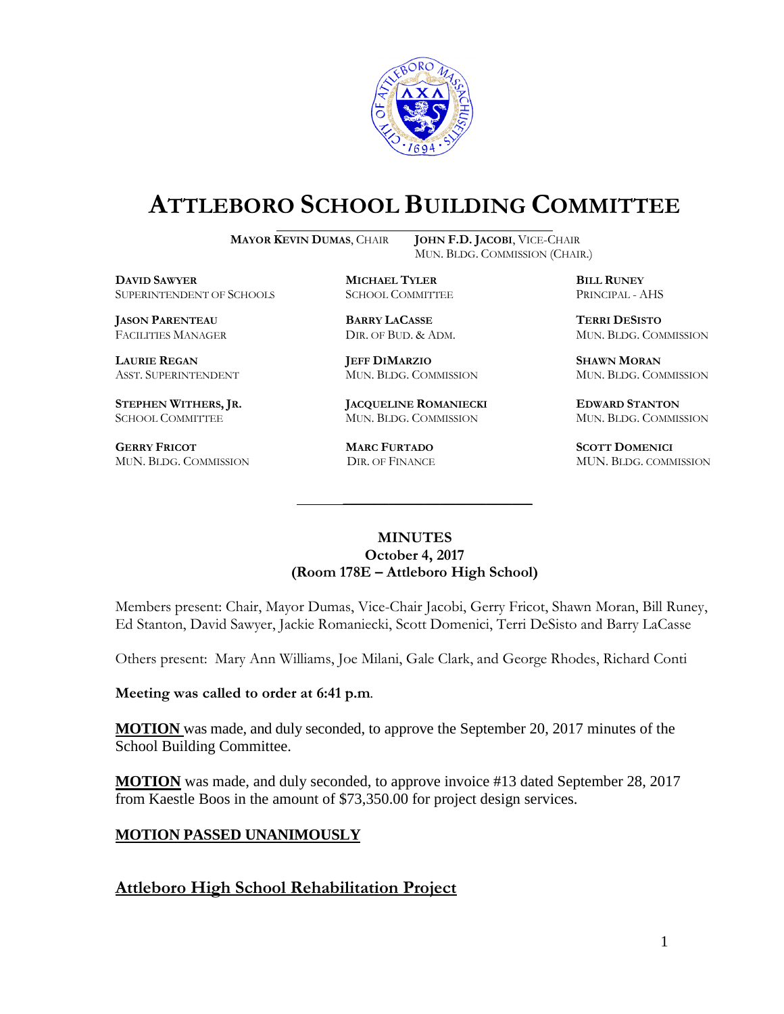

# **ATTLEBORO SCHOOL BUILDING COMMITTEE**

**MAYOR KEVIN DUMAS**, CHAIR **JOHN F.D. JACOBI**, VICE-CHAIR

MUN. BLDG. COMMISSION (CHAIR.)

**DAVID SAWYER MICHAEL TYLER BILL RUNEY** SUPERINTENDENT OF SCHOOLS SCHOOL COMMITTEE PRINCIPAL - AHS

**JASON PARENTEAU BARRY LACASSE TERRI DESISTO**

**GERRY FRICOT MARC FURTADO SCOTT DOMENICI** 

**LAURIE REGAN JEFF DIMARZIO SHAWN MORAN**

**STEPHEN WITHERS, JR. JACQUELINE ROMANIECKI EDWARD STANTON** SCHOOL COMMITTEE MUN. BLDG. COMMISSION MUN. BLDG. COMMISSION

FACILITIES MANAGER DIR. OF BUD. & ADM. MUN. BLDG. COMMISSION

ASST. SUPERINTENDENT MUN. BLDG. COMMISSION MUN. BLDG. COMMISSION

MUN. BLDG. COMMISSION DIR. OF FINANCE MUN. BLDG. COMMISSION

### **MINUTES October 4, 2017 (Room 178E – Attleboro High School)**

\_\_\_\_\_\_\_\_\_\_\_\_\_\_\_\_\_\_\_\_\_\_\_\_\_\_\_\_\_\_\_\_\_\_\_\_\_

Members present: Chair, Mayor Dumas, Vice-Chair Jacobi, Gerry Fricot, Shawn Moran, Bill Runey, Ed Stanton, David Sawyer, Jackie Romaniecki, Scott Domenici, Terri DeSisto and Barry LaCasse

Others present: Mary Ann Williams, Joe Milani, Gale Clark, and George Rhodes, Richard Conti

**Meeting was called to order at 6:41 p.m**.

**MOTION** was made, and duly seconded, to approve the September 20, 2017 minutes of the School Building Committee.

**MOTION** was made, and duly seconded, to approve invoice #13 dated September 28, 2017 from Kaestle Boos in the amount of \$73,350.00 for project design services.

## **MOTION PASSED UNANIMOUSLY**

**Attleboro High School Rehabilitation Project**